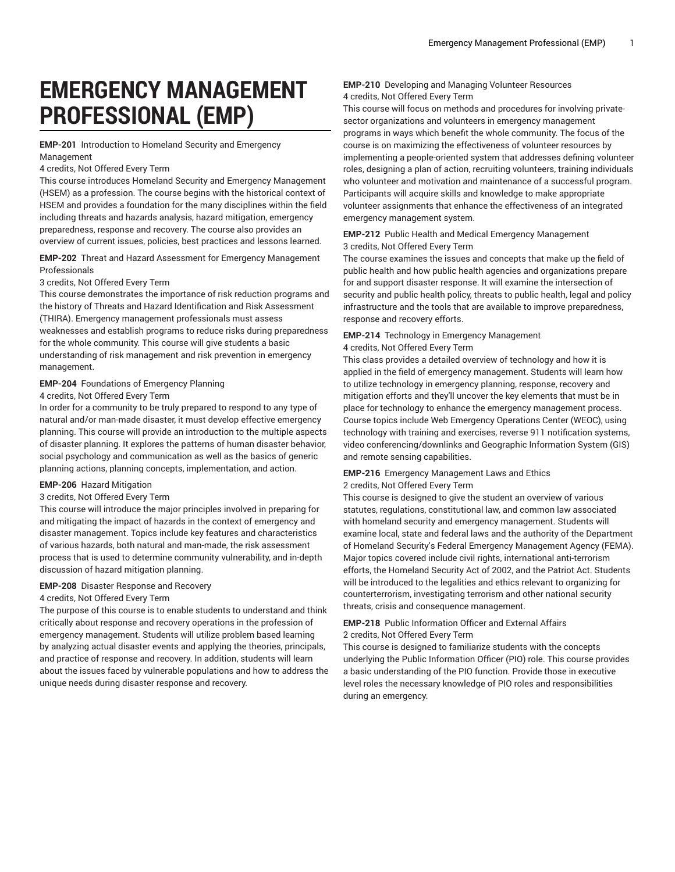# **EMERGENCY MANAGEMENT PROFESSIONAL (EMP)**

**EMP-201** Introduction to Homeland Security and Emergency Management

## 4 credits, Not Offered Every Term

This course introduces Homeland Security and Emergency Management (HSEM) as a profession. The course begins with the historical context of HSEM and provides a foundation for the many disciplines within the field including threats and hazards analysis, hazard mitigation, emergency preparedness, response and recovery. The course also provides an overview of current issues, policies, best practices and lessons learned.

## **EMP-202** Threat and Hazard Assessment for Emergency Management Professionals

#### 3 credits, Not Offered Every Term

This course demonstrates the importance of risk reduction programs and the history of Threats and Hazard Identification and Risk Assessment (THIRA). Emergency management professionals must assess weaknesses and establish programs to reduce risks during preparedness for the whole community. This course will give students a basic understanding of risk management and risk prevention in emergency management.

## **EMP-204** Foundations of Emergency Planning

#### 4 credits, Not Offered Every Term

In order for a community to be truly prepared to respond to any type of natural and/or man-made disaster, it must develop effective emergency planning. This course will provide an introduction to the multiple aspects of disaster planning. It explores the patterns of human disaster behavior, social psychology and communication as well as the basics of generic planning actions, planning concepts, implementation, and action.

## **EMP-206** Hazard Mitigation

# 3 credits, Not Offered Every Term

This course will introduce the major principles involved in preparing for and mitigating the impact of hazards in the context of emergency and disaster management. Topics include key features and characteristics of various hazards, both natural and man-made, the risk assessment process that is used to determine community vulnerability, and in-depth discussion of hazard mitigation planning.

# **EMP-208** Disaster Response and Recovery

## 4 credits, Not Offered Every Term

The purpose of this course is to enable students to understand and think critically about response and recovery operations in the profession of emergency management. Students will utilize problem based learning by analyzing actual disaster events and applying the theories, principals, and practice of response and recovery. In addition, students will learn about the issues faced by vulnerable populations and how to address the unique needs during disaster response and recovery.

# **EMP-210** Developing and Managing Volunteer Resources 4 credits, Not Offered Every Term

This course will focus on methods and procedures for involving privatesector organizations and volunteers in emergency management programs in ways which benefit the whole community. The focus of the course is on maximizing the effectiveness of volunteer resources by implementing a people-oriented system that addresses defining volunteer roles, designing a plan of action, recruiting volunteers, training individuals who volunteer and motivation and maintenance of a successful program. Participants will acquire skills and knowledge to make appropriate volunteer assignments that enhance the effectiveness of an integrated emergency management system.

# **EMP-212** Public Health and Medical Emergency Management 3 credits, Not Offered Every Term

The course examines the issues and concepts that make up the field of public health and how public health agencies and organizations prepare for and support disaster response. It will examine the intersection of security and public health policy, threats to public health, legal and policy infrastructure and the tools that are available to improve preparedness, response and recovery efforts.

# **EMP-214** Technology in Emergency Management

4 credits, Not Offered Every Term

This class provides a detailed overview of technology and how it is applied in the field of emergency management. Students will learn how to utilize technology in emergency planning, response, recovery and mitigation efforts and they'll uncover the key elements that must be in place for technology to enhance the emergency management process. Course topics include Web Emergency Operations Center (WEOC), using technology with training and exercises, reverse 911 notification systems, video conferencing/downlinks and Geographic Information System (GIS) and remote sensing capabilities.

# **EMP-216** Emergency Management Laws and Ethics

# 2 credits, Not Offered Every Term

This course is designed to give the student an overview of various statutes, regulations, constitutional law, and common law associated with homeland security and emergency management. Students will examine local, state and federal laws and the authority of the Department of Homeland Security's Federal Emergency Management Agency (FEMA). Major topics covered include civil rights, international anti-terrorism efforts, the Homeland Security Act of 2002, and the Patriot Act. Students will be introduced to the legalities and ethics relevant to organizing for counterterrorism, investigating terrorism and other national security threats, crisis and consequence management.

## **EMP-218** Public Information Officer and External Affairs 2 credits, Not Offered Every Term

This course is designed to familiarize students with the concepts underlying the Public Information Officer (PIO) role. This course provides a basic understanding of the PIO function. Provide those in executive level roles the necessary knowledge of PIO roles and responsibilities during an emergency.